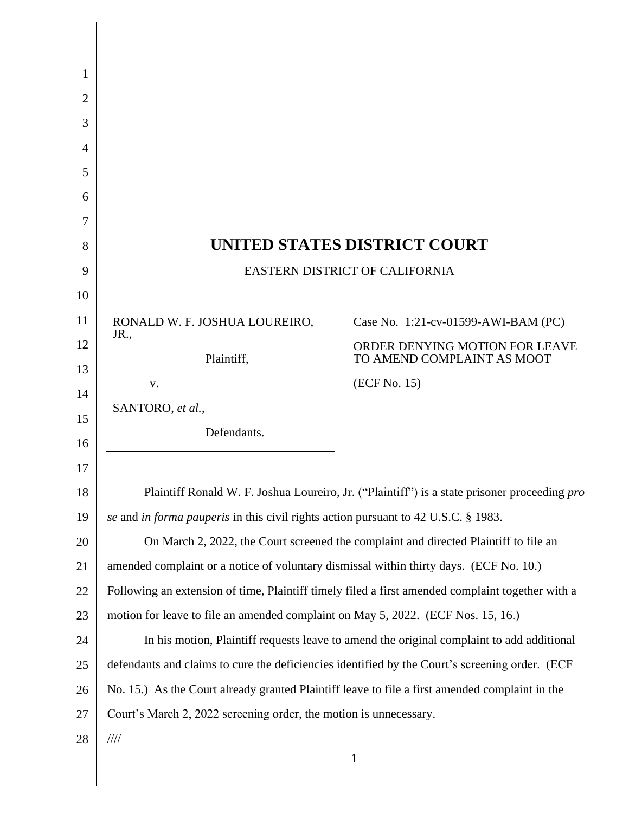| 1              |                                                                                                  |                                                              |
|----------------|--------------------------------------------------------------------------------------------------|--------------------------------------------------------------|
| $\overline{2}$ |                                                                                                  |                                                              |
| 3              |                                                                                                  |                                                              |
| $\overline{4}$ |                                                                                                  |                                                              |
| 5              |                                                                                                  |                                                              |
| 6              |                                                                                                  |                                                              |
| 7              |                                                                                                  |                                                              |
| 8              | UNITED STATES DISTRICT COURT                                                                     |                                                              |
| 9              | <b>EASTERN DISTRICT OF CALIFORNIA</b>                                                            |                                                              |
| 10             |                                                                                                  |                                                              |
| 11             | RONALD W. F. JOSHUA LOUREIRO,<br>JR.                                                             | Case No. 1:21-cv-01599-AWI-BAM (PC)                          |
| 12             | Plaintiff,                                                                                       | ORDER DENYING MOTION FOR LEAVE<br>TO AMEND COMPLAINT AS MOOT |
| 13             | V.                                                                                               | (ECF No. 15)                                                 |
| 14             | SANTORO, et al.,                                                                                 |                                                              |
| 15<br>16       | Defendants.                                                                                      |                                                              |
| 17             |                                                                                                  |                                                              |
| 18             | Plaintiff Ronald W. F. Joshua Loureiro, Jr. ("Plaintiff") is a state prisoner proceeding pro     |                                                              |
| 19             | se and in forma pauperis in this civil rights action pursuant to 42 U.S.C. § 1983.               |                                                              |
| 20             | On March 2, 2022, the Court screened the complaint and directed Plaintiff to file an             |                                                              |
| 21             | amended complaint or a notice of voluntary dismissal within thirty days. (ECF No. 10.)           |                                                              |
| 22             | Following an extension of time, Plaintiff timely filed a first amended complaint together with a |                                                              |
| 23             | motion for leave to file an amended complaint on May 5, 2022. (ECF Nos. 15, 16.)                 |                                                              |
| 24             | In his motion, Plaintiff requests leave to amend the original complaint to add additional        |                                                              |
| 25             | defendants and claims to cure the deficiencies identified by the Court's screening order. (ECF   |                                                              |
| 26             | No. 15.) As the Court already granted Plaintiff leave to file a first amended complaint in the   |                                                              |
| 27             | Court's March 2, 2022 screening order, the motion is unnecessary.                                |                                                              |
| 28             | $\frac{1}{1}$                                                                                    |                                                              |
|                |                                                                                                  | $\mathbf{1}$                                                 |